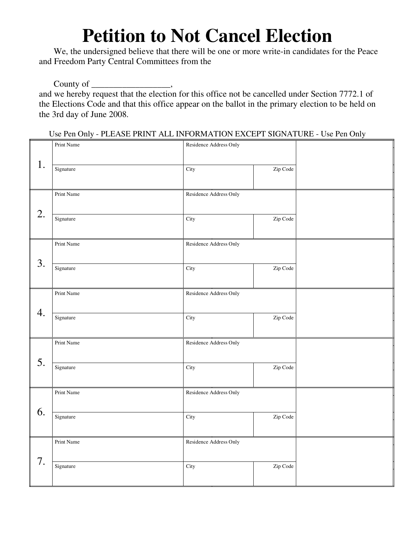## **Petition to Not Cancel Election**

We, the undersigned believe that there will be one or more write-in candidates for the Peace and Freedom Party Central Committees from the

County of \_\_\_\_\_\_\_\_\_\_\_\_\_\_\_\_\_\_\_\_\_\_,

and we hereby request that the election for this office not be cancelled under Section 7772.1 of the Elections Code and that this office appear on the ballot in the primary election to be held on the 3rd day of June 2008.

Use Pen Only - PLEASE PRINT ALL INFORMATION EXCEPT SIGNATURE - Use Pen Only

| 1. | Print Name | Residence Address Only |          |  |
|----|------------|------------------------|----------|--|
|    | Signature  | City                   | Zip Code |  |
| 2. | Print Name | Residence Address Only |          |  |
|    | Signature  | City                   | Zip Code |  |
| 3. | Print Name | Residence Address Only |          |  |
|    | Signature  | City                   | Zip Code |  |
| 4. | Print Name | Residence Address Only |          |  |
|    | Signature  | City                   | Zip Code |  |
| 5. | Print Name | Residence Address Only |          |  |
|    | Signature  | City                   | Zip Code |  |
| 6. | Print Name | Residence Address Only |          |  |
|    | Signature  | City                   | Zip Code |  |
| 7. | Print Name | Residence Address Only |          |  |
|    | Signature  | City                   | Zip Code |  |